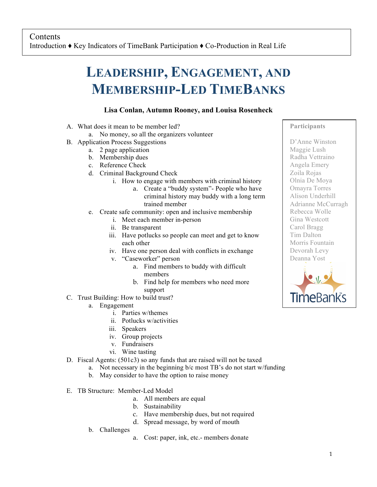## **LEADERSHIP, ENGAGEMENT, AND MEMBERSHIP-LED TIMEBANKS**

## **Lisa Conlan, Autumn Rooney, and Louisa Rosenheck**

- A. What does it mean to be member led?
	- a. No money, so all the organizers volunteer
- B. Application Process Suggestions
	- a. 2 page application
	- b. Membership dues
	- c. Reference Check
	- d. Criminal Background Check
		- i. How to engage with members with criminal history
			- a. Create a "buddy system"- People who have criminal history may buddy with a long term trained member
	- e. Create safe community: open and inclusive membership
		- i. Meet each member in-person
		- ii. Be transparent
		- iii. Have potlucks so people can meet and get to know each other
		- iv. Have one person deal with conflicts in exchange
		- v. "Caseworker" person
			- a. Find members to buddy with difficult members
			- b. Find help for members who need more support
- C. Trust Building: How to build trust?
	- a. Engagement
		- i. Parties w/themes
		- ii. Potlucks w/activities
		- iii. Speakers
		- iv. Group projects
		- v. Fundraisers
		- vi. Wine tasting
- D. Fiscal Agents: (501c3) so any funds that are raised will not be taxed
	- a. Not necessary in the beginning b/c most TB's do not start w/funding
	- b. May consider to have the option to raise money
- E. TB Structure: Member-Led Model
	- a. All members are equal
	- b. Sustainability
	- c. Have membership dues, but not required
	- d. Spread message, by word of mouth
	- b. Challenges
- a. Cost: paper, ink, etc.- members donate

## **Participants**

D'Anne Winston Maggie Lush Radha Vettraino Angela Emery Zoila Rojas Olnia De Moya Omayra Torres Alison Underhill Adrianne McCurragh Rebecca Wolle Gina Westcott Carol Bragg Tim Dalton Morris Fountain Devorah Levy Deanna Yost